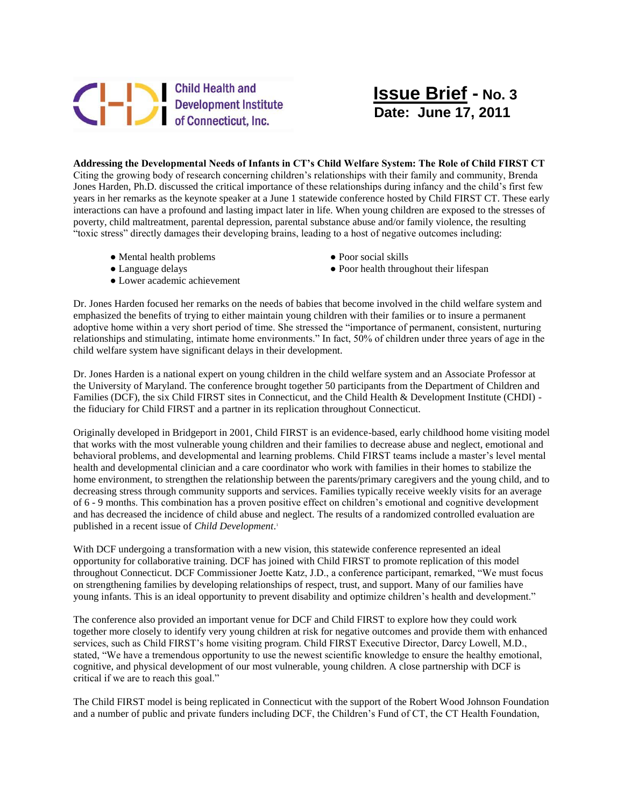## Child Health and<br>Development Institute<br>of Connecticut, Inc.

## **Issue Brief - No. 3 Date: June 17, 2011**

**Addressing the Developmental Needs of Infants in CT's Child Welfare System: The Role of Child FIRST CT**  Citing the growing body of research concerning children's relationships with their family and community, Brenda Jones Harden, Ph.D. discussed the critical importance of these relationships during infancy and the child's first few years in her remarks as the keynote speaker at a June 1 statewide conference hosted by Child FIRST CT. These early interactions can have a profound and lasting impact later in life. When young children are exposed to the stresses of poverty, child maltreatment, parental depression, parental substance abuse and/or family violence, the resulting "toxic stress" directly damages their developing brains, leading to a host of negative outcomes including:

- Mental health problems Poor social skills
- 
- Lower academic achievement
- 
- Language delays **•** Poor health throughout their lifespan

Dr. Jones Harden focused her remarks on the needs of babies that become involved in the child welfare system and emphasized the benefits of trying to either maintain young children with their families or to insure a permanent adoptive home within a very short period of time. She stressed the "importance of permanent, consistent, nurturing relationships and stimulating, intimate home environments." In fact, 50% of children under three years of age in the child welfare system have significant delays in their development.

Dr. Jones Harden is a national expert on young children in the child welfare system and an Associate Professor at the University of Maryland. The conference brought together 50 participants from the Department of Children and Families (DCF), the six Child FIRST sites in Connecticut, and the Child Health & Development Institute (CHDI) the fiduciary for Child FIRST and a partner in its replication throughout Connecticut.

Originally developed in Bridgeport in 2001, Child FIRST is an evidence-based, early childhood home visiting model that works with the most vulnerable young children and their families to decrease abuse and neglect, emotional and behavioral problems, and developmental and learning problems. Child FIRST teams include a master's level mental health and developmental clinician and a care coordinator who work with families in their homes to stabilize the home environment, to strengthen the relationship between the parents/primary caregivers and the young child, and to decreasing stress through community supports and services. Families typically receive weekly visits for an average of 6 - 9 months. This combination has a proven positive effect on children's emotional and cognitive development and has decreased the incidence of child abuse and neglect. The results of a randomized controlled evaluation are published in a recent issue of *Child Development*. 1

With DCF undergoing a transformation with a new vision, this statewide conference represented an ideal opportunity for collaborative training. DCF has joined with Child FIRST to promote replication of this model throughout Connecticut. DCF Commissioner Joette Katz, J.D., a conference participant, remarked, "We must focus on strengthening families by developing relationships of respect, trust, and support. Many of our families have young infants. This is an ideal opportunity to prevent disability and optimize children's health and development."

The conference also provided an important venue for DCF and Child FIRST to explore how they could work together more closely to identify very young children at risk for negative outcomes and provide them with enhanced services, such as Child FIRST's home visiting program. Child FIRST Executive Director, Darcy Lowell, M.D., stated, "We have a tremendous opportunity to use the newest scientific knowledge to ensure the healthy emotional, cognitive, and physical development of our most vulnerable, young children. A close partnership with DCF is critical if we are to reach this goal."

The Child FIRST model is being replicated in Connecticut with the support of the Robert Wood Johnson Foundation and a number of public and private funders including DCF, the Children's Fund of CT, the CT Health Foundation,